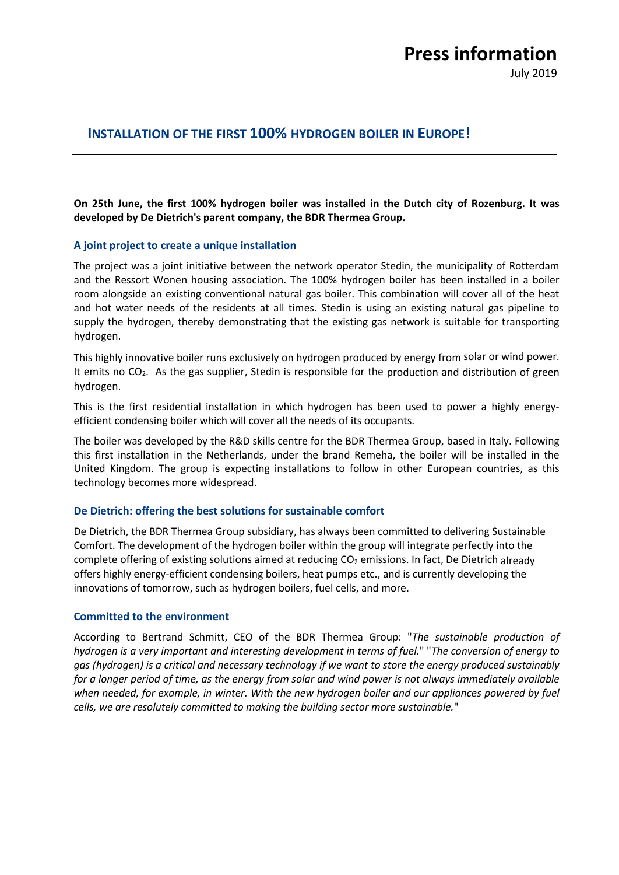# **Press information**

July 2019

## **INSTALLATION OF THE FIRST 100% HYDROGEN BOILER IN EUROPE!**

**On 25th June, the first 100% hydrogen boiler was installed in the Dutch city of Rozenburg. It was developed by De Dietrich's parent company, the BDR Thermea Group.**

## **A joint project to create a unique installation**

The project was a joint initiative between the network operator Stedin, the municipality of Rotterdam and the Ressort Wonen housing association. The 100% hydrogen boiler has been installed in a boiler room alongside an existing conventional natural gas boiler. This combination will cover all of the heat and hot water needs of the residents at all times. Stedin is using an existing natural gas pipeline to supply the hydrogen, thereby demonstrating that the existing gas network is suitable for transporting hydrogen.

This highly innovative boiler runs exclusively on hydrogen produced by energy from solar or wind power. It emits no CO<sub>2</sub>. As the gas supplier, Stedin is responsible for the production and distribution of green hydrogen.

This is the first residential installation in which hydrogen has been used to power a highly energyefficient condensing boiler which will cover all the needs of its occupants.

The boiler was developed by the R&D skills centre for the BDR Thermea Group, based in Italy. Following this first installation in the Netherlands, under the brand Remeha, the boiler will be installed in the United Kingdom. The group is expecting installations to follow in other European countries, as this technology becomes more widespread.

## **De Dietrich: offering the best solutions for sustainable comfort**

De Dietrich, the BDR Thermea Group subsidiary, has always been committed to delivering Sustainable Comfort. The development of the hydrogen boiler within the group will integrate perfectly into the complete offering of existing solutions aimed at reducing  $CO<sub>2</sub>$  emissions. In fact, De Dietrich already offers highly energy-efficient condensing boilers, heat pumps etc., and is currently developing the innovations of tomorrow, such as hydrogen boilers, fuel cells, and more.

## **Committed to the environment**

According to Bertrand Schmitt, CEO of the BDR Thermea Group: "*The sustainable production of hydrogen is a very important and interesting development in terms of fuel.*" "*The conversion of energy to gas (hydrogen) is a critical and necessary technology if we want to store the energy produced sustainably for a longer period of time, as the energy from solar and wind power is not always immediately available when needed, for example, in winter. With the new hydrogen boiler and our appliances powered by fuel cells, we are resolutely committed to making the building sector more sustainable.*"